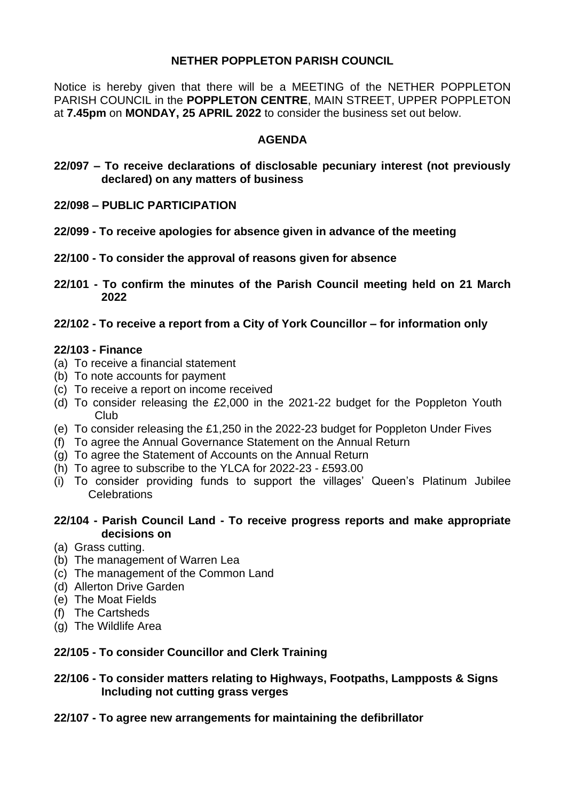# **NETHER POPPLETON PARISH COUNCIL**

Notice is hereby given that there will be a MEETING of the NETHER POPPLETON PARISH COUNCIL in the **POPPLETON CENTRE**, MAIN STREET, UPPER POPPLETON at **7.45pm** on **MONDAY, 25 APRIL 2022** to consider the business set out below.

# **AGENDA**

- **22/097 – To receive declarations of disclosable pecuniary interest (not previously declared) on any matters of business**
- **22/098 – PUBLIC PARTICIPATION**
- **22/099 - To receive apologies for absence given in advance of the meeting**
- **22/100 - To consider the approval of reasons given for absence**
- **22/101 - To confirm the minutes of the Parish Council meeting held on 21 March 2022**
- **22/102 - To receive a report from a City of York Councillor – for information only**

#### **22/103 - Finance**

- (a) To receive a financial statement
- (b) To note accounts for payment
- (c) To receive a report on income received
- (d) To consider releasing the £2,000 in the 2021-22 budget for the Poppleton Youth Club
- (e) To consider releasing the £1,250 in the 2022-23 budget for Poppleton Under Fives
- (f) To agree the Annual Governance Statement on the Annual Return
- (g) To agree the Statement of Accounts on the Annual Return
- (h) To agree to subscribe to the YLCA for 2022-23 £593.00
- (i) To consider providing funds to support the villages' Queen's Platinum Jubilee **Celebrations**

# **22/104 - Parish Council Land - To receive progress reports and make appropriate decisions on**

- (a) Grass cutting.
- (b) The management of Warren Lea
- (c) The management of the Common Land
- (d) Allerton Drive Garden
- (e) The Moat Fields
- (f) The Cartsheds
- (g) The Wildlife Area

# **22/105 - To consider Councillor and Clerk Training**

#### **22/106 - To consider matters relating to Highways, Footpaths, Lampposts & Signs Including not cutting grass verges**

**22/107 - To agree new arrangements for maintaining the defibrillator**